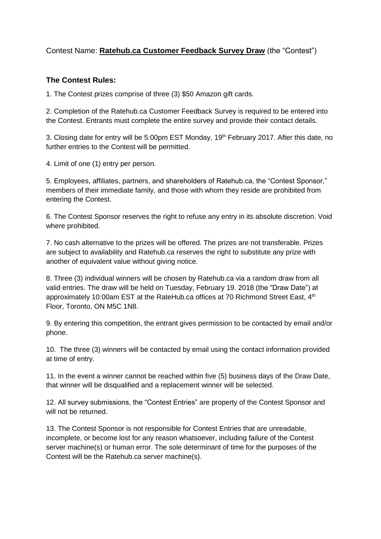## Contest Name: **Ratehub.ca Customer Feedback Survey Draw** (the "Contest")

## **The Contest Rules:**

1. The Contest prizes comprise of three (3) \$50 Amazon gift cards.

2. Completion of the Ratehub.ca Customer Feedback Survey is required to be entered into the Contest. Entrants must complete the entire survey and provide their contact details.

3. Closing date for entry will be 5:00pm EST Monday, 19<sup>th</sup> February 2017. After this date, no further entries to the Contest will be permitted.

4. Limit of one (1) entry per person.

5. Employees, affiliates, partners, and shareholders of Ratehub.ca, the "Contest Sponsor," members of their immediate family, and those with whom they reside are prohibited from entering the Contest.

6. The Contest Sponsor reserves the right to refuse any entry in its absolute discretion. Void where prohibited.

7. No cash alternative to the prizes will be offered. The prizes are not transferable. Prizes are subject to availability and Ratehub.ca reserves the right to substitute any prize with another of equivalent value without giving notice.

8. Three (3) individual winners will be chosen by Ratehub.ca via a random draw from all valid entries. The draw will be held on Tuesday, February 19. 2018 (the "Draw Date") at approximately 10:00am EST at the RateHub.ca offices at 70 Richmond Street East, 4<sup>th</sup> Floor, Toronto, ON M5C 1N8.

9. By entering this competition, the entrant gives permission to be contacted by email and/or phone.

10. The three (3) winners will be contacted by email using the contact information provided at time of entry.

11. In the event a winner cannot be reached within five (5) business days of the Draw Date, that winner will be disqualified and a replacement winner will be selected.

12. All survey submissions, the "Contest Entries" are property of the Contest Sponsor and will not be returned.

13. The Contest Sponsor is not responsible for Contest Entries that are unreadable, incomplete, or become lost for any reason whatsoever, including failure of the Contest server machine(s) or human error. The sole determinant of time for the purposes of the Contest will be the Ratehub.ca server machine(s).